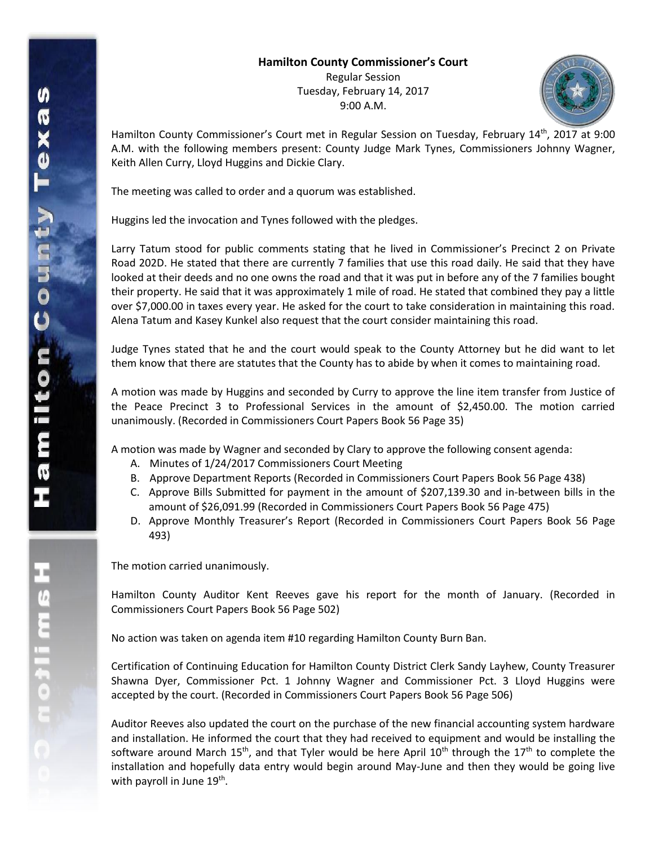Regular Session Tuesday, February 14, 2017 9:00 A.M.



Hamilton County Commissioner's Court met in Regular Session on Tuesday, February 14<sup>th</sup>, 2017 at 9:00 A.M. with the following members present: County Judge Mark Tynes, Commissioners Johnny Wagner, Keith Allen Curry, Lloyd Huggins and Dickie Clary.

The meeting was called to order and a quorum was established.

Huggins led the invocation and Tynes followed with the pledges.

Larry Tatum stood for public comments stating that he lived in Commissioner's Precinct 2 on Private Road 202D. He stated that there are currently 7 families that use this road daily. He said that they have looked at their deeds and no one owns the road and that it was put in before any of the 7 families bought their property. He said that it was approximately 1 mile of road. He stated that combined they pay a little over \$7,000.00 in taxes every year. He asked for the court to take consideration in maintaining this road. Alena Tatum and Kasey Kunkel also request that the court consider maintaining this road.

Judge Tynes stated that he and the court would speak to the County Attorney but he did want to let them know that there are statutes that the County has to abide by when it comes to maintaining road.

A motion was made by Huggins and seconded by Curry to approve the line item transfer from Justice of the Peace Precinct 3 to Professional Services in the amount of \$2,450.00. The motion carried unanimously. (Recorded in Commissioners Court Papers Book 56 Page 35)

A motion was made by Wagner and seconded by Clary to approve the following consent agenda:

- A. Minutes of 1/24/2017 Commissioners Court Meeting
- B. Approve Department Reports (Recorded in Commissioners Court Papers Book 56 Page 438)
- C. Approve Bills Submitted for payment in the amount of \$207,139.30 and in-between bills in the amount of \$26,091.99 (Recorded in Commissioners Court Papers Book 56 Page 475)
- D. Approve Monthly Treasurer's Report (Recorded in Commissioners Court Papers Book 56 Page 493)

The motion carried unanimously.

Hamilton County Auditor Kent Reeves gave his report for the month of January. (Recorded in Commissioners Court Papers Book 56 Page 502)

No action was taken on agenda item #10 regarding Hamilton County Burn Ban.

Certification of Continuing Education for Hamilton County District Clerk Sandy Layhew, County Treasurer Shawna Dyer, Commissioner Pct. 1 Johnny Wagner and Commissioner Pct. 3 Lloyd Huggins were accepted by the court. (Recorded in Commissioners Court Papers Book 56 Page 506)

Auditor Reeves also updated the court on the purchase of the new financial accounting system hardware and installation. He informed the court that they had received to equipment and would be installing the software around March 15<sup>th</sup>, and that Tyler would be here April 10<sup>th</sup> through the 17<sup>th</sup> to complete the installation and hopefully data entry would begin around May-June and then they would be going live with payroll in June 19<sup>th</sup>.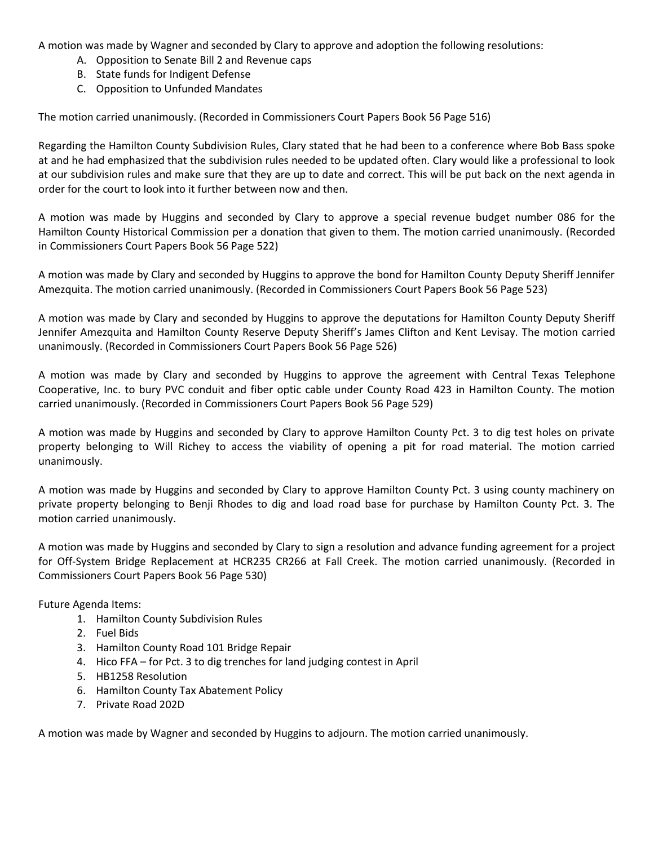A motion was made by Wagner and seconded by Clary to approve and adoption the following resolutions:

- A. Opposition to Senate Bill 2 and Revenue caps
- B. State funds for Indigent Defense
- C. Opposition to Unfunded Mandates

The motion carried unanimously. (Recorded in Commissioners Court Papers Book 56 Page 516)

Regarding the Hamilton County Subdivision Rules, Clary stated that he had been to a conference where Bob Bass spoke at and he had emphasized that the subdivision rules needed to be updated often. Clary would like a professional to look at our subdivision rules and make sure that they are up to date and correct. This will be put back on the next agenda in order for the court to look into it further between now and then.

A motion was made by Huggins and seconded by Clary to approve a special revenue budget number 086 for the Hamilton County Historical Commission per a donation that given to them. The motion carried unanimously. (Recorded in Commissioners Court Papers Book 56 Page 522)

A motion was made by Clary and seconded by Huggins to approve the bond for Hamilton County Deputy Sheriff Jennifer Amezquita. The motion carried unanimously. (Recorded in Commissioners Court Papers Book 56 Page 523)

A motion was made by Clary and seconded by Huggins to approve the deputations for Hamilton County Deputy Sheriff Jennifer Amezquita and Hamilton County Reserve Deputy Sheriff's James Clifton and Kent Levisay. The motion carried unanimously. (Recorded in Commissioners Court Papers Book 56 Page 526)

A motion was made by Clary and seconded by Huggins to approve the agreement with Central Texas Telephone Cooperative, Inc. to bury PVC conduit and fiber optic cable under County Road 423 in Hamilton County. The motion carried unanimously. (Recorded in Commissioners Court Papers Book 56 Page 529)

A motion was made by Huggins and seconded by Clary to approve Hamilton County Pct. 3 to dig test holes on private property belonging to Will Richey to access the viability of opening a pit for road material. The motion carried unanimously.

A motion was made by Huggins and seconded by Clary to approve Hamilton County Pct. 3 using county machinery on private property belonging to Benji Rhodes to dig and load road base for purchase by Hamilton County Pct. 3. The motion carried unanimously.

A motion was made by Huggins and seconded by Clary to sign a resolution and advance funding agreement for a project for Off-System Bridge Replacement at HCR235 CR266 at Fall Creek. The motion carried unanimously. (Recorded in Commissioners Court Papers Book 56 Page 530)

Future Agenda Items:

- 1. Hamilton County Subdivision Rules
- 2. Fuel Bids
- 3. Hamilton County Road 101 Bridge Repair
- 4. Hico FFA for Pct. 3 to dig trenches for land judging contest in April
- 5. HB1258 Resolution
- 6. Hamilton County Tax Abatement Policy
- 7. Private Road 202D

A motion was made by Wagner and seconded by Huggins to adjourn. The motion carried unanimously.